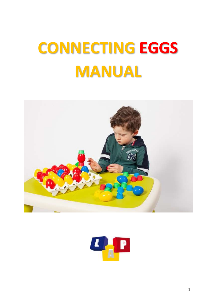# **CONNECTING EGGS MANUAL**



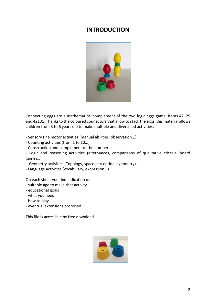# **INTRODUCTION**



Connecting eggs are a mathematical complement of the two logic eggs game, items 42125 and 42131. Thanks to the coloured connectors that allow to stack the eggs, this material allows children from 3 to 6 years old to make multiple and diversified activities:

- Sensory fine motor activities (manual abilities, observation...)

- Counting activities (from 1 to 10...)
- Construction and complement of the number
- Logic and reasoning activities (alternances, comparisons of qualitative criteria, board games…)
- Geometry activities (Topology, space perception, symmetry).
- Language activities (vocabulary, expression...)

On each sheet you find indication of:

- suitable age to make that activity
- educational goals
- what you need
- how to play
- eventual extensions proposed

This file is accessible by free download.

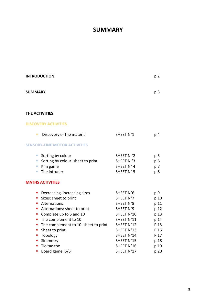# **SUMMARY**

| <b>INTRODUCTION</b>                                                                                                                                                                                                                                                                                                                                     |                                                                                                                                                    | p <sub>2</sub>                                                                      |
|---------------------------------------------------------------------------------------------------------------------------------------------------------------------------------------------------------------------------------------------------------------------------------------------------------------------------------------------------------|----------------------------------------------------------------------------------------------------------------------------------------------------|-------------------------------------------------------------------------------------|
| <b>SUMMARY</b>                                                                                                                                                                                                                                                                                                                                          |                                                                                                                                                    | p <sub>3</sub>                                                                      |
| THE ACTIVITIES                                                                                                                                                                                                                                                                                                                                          |                                                                                                                                                    |                                                                                     |
| <b>DISCOVERY ACTIVITIES</b>                                                                                                                                                                                                                                                                                                                             |                                                                                                                                                    |                                                                                     |
| Discovery of the material<br>$\blacksquare$                                                                                                                                                                                                                                                                                                             | SHEET N°1                                                                                                                                          | p 4                                                                                 |
| <b>SENSORY-FINE MOTOR ACTIVITIES</b>                                                                                                                                                                                                                                                                                                                    |                                                                                                                                                    |                                                                                     |
| Sorting by colour<br>$\mathcal{L}_{\mathcal{A}}$<br>Sorting by colour: sheet to print<br>$\mathcal{L}_{\mathcal{A}}$<br>Kim game<br>$\mathcal{L}_{\mathcal{A}}$<br>The intruder<br>$\mathcal{L}_{\mathcal{A}}$                                                                                                                                          | SHEET N °2<br>SHEET N°3<br>SHEET N° 4<br>SHEET N° 5                                                                                                | p 5<br>p <sub>6</sub><br>p 7<br>p 8                                                 |
| <b>MATHS ACTIVITIES</b>                                                                                                                                                                                                                                                                                                                                 |                                                                                                                                                    |                                                                                     |
| • Decreasing, increasing sizes<br>Sizes: sheet to print<br>$\blacksquare$<br>Alternations<br>$\blacksquare$<br>Alternations: sheet to print<br>a.<br>Complete up to 5 and 10<br>• The complement to 10<br>• The complement to 10: sheet to print<br>Sheet to print<br>П<br>Topology<br>п<br>Simmetry<br>$\blacksquare$<br>Tic-tac-toe<br>$\blacksquare$ | SHEET N°6<br>SHEET N°7<br>SHEET N°8<br>SHEET N°9<br>SHEET N°10<br>SHEET N°11<br>SHEET N°12<br>SHEET N°13<br>SHEET N°14<br>SHEET N°15<br>SHEET N°16 | p 9<br>p 10<br>p 11<br>p 12<br>p 13<br>p 14<br>P 15<br>P 16<br>P 17<br>p 18<br>p 19 |
| Board game: 5/5<br>п                                                                                                                                                                                                                                                                                                                                    | SHEET N°17                                                                                                                                         | p 20                                                                                |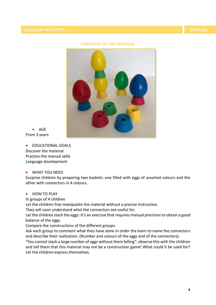## **DISCOVERY OF THE MATERIAL**



 $\bullet$  AGE From 3 years

**•** FDUCATIONAL GOALS Discover the material Practice the manual skills Language development

#### WHAT YOU NEED

Surprise children by preparing two baskets: one filled with eggs of assorted colours and the other with connectors in 4 colours.

# • HOW TO PLAY

In groups of 4 children

Let the children free manipulate the material without a precise instruction.

They will soon understand what the connectors are useful for.

Let the children stack the eggs: it's an exercise that requires manual precision to obtain a good balance of the eggs.

Compare the constructions of the different groups.

Ask each group to comment what they have done in order the learn to name the connectors and describe their realization. (Number and colours of the eggs and of the connectors).

"You cannot stack a large number of eggs without them falling": observe this with the children and tell them that this material may not be a construction game! What could it be used for? Let the children express themselves.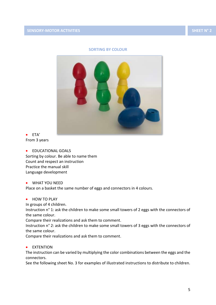# **SORTING BY COLOUR**



 $\bullet$  ETA' From 3 years

**• EDUCATIONAL GOALS** 

Sorting by colour. Be able to name them Count and respect an instruction Practice the manual skill Language development

WHAT YOU NEED

Place on a basket the same number of eggs and connectors in 4 colours.

• HOW TO PLAY

In groups of 4 children.

Instruction n° 1: ask the children to make some small towers of 2 eggs with the connectors of the same colour.

Compare their realizations and ask them to comment.

Instruction n° 2: ask the children to make some small towers of 3 eggs with the connectors of the same colour.

Compare their realizations and ask them to comment.

**•** EXTENTION

The instruction can be varied by multiplying the color combinations between the eggs and the connectors.

See the following sheet No. 3 for examples of illustrated instructions to distribute to children.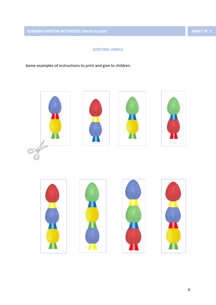**SENSORY-MOTOR ACTIVITIES: Sheet to print SHEET N° 3 SHEET N° 3** 

# **SORTING LABELS**

Some examples of instructions to print and give to children.

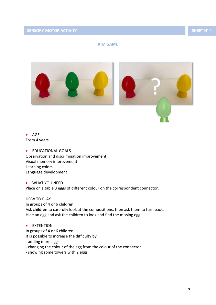# **KIM GAME**



 AGE From 4 years

**•** EDUCATIONAL GOALS Observation and discrimination improvement Visual memory improvement Learning colors Language development

 WHAT YOU NEED Place on a table 3 eggs of different colour on the correspondent connector.

HOW TO PLAY In groups of 4 or 6 children. Ask children to carefully look at the compositions, then ask them to turn back. Hide an egg and ask the children to look and find the missing egg.

**•** EXTENTION

In groups of 4 or 6 children It is possible to increase the difficulty by:

- adding more eggs
- changing the colour of the egg from the colour of the connector
- showing some towers with 2 eggs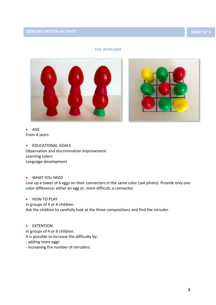# **THE INTRUDER**



 $\bullet$  AGE From 4 years

**• EDUCATIONAL GOALS** Observation and discrimination improvement Learning colors Language development

# WHAT YOU NEED

Line up a tower of 6 eggs on their connectors in the same color (see photo). Provide only one color difference: either an egg or, more difficult, a connector.

# **•** HOW TO PLAY

In groups of 4 or 6 children

Ask the children to carefully look at the three compositions and find the intruder.

**•** EXTENTION

In groups of 4 or 6 children. It is possible to increase the difficulty by:

- adding more eggs
- increasing the number of intruders.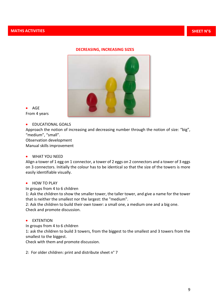#### **DECREASING, INCREASING SIZES**



 AGE From 4 years

**• EDUCATIONAL GOALS** 

Approach the notion of increasing and decreasing number through the notion of size: "big", "medium", "small".

Observation development Manual skills improvement

# WHAT YOU NEED

Align a tower of 1 egg on 1 connector, a tower of 2 eggs on 2 connectors and a tower of 3 eggs on 3 connectors. Initially the colour has to be identical so that the size of the towers is more easily identifiable visually.

#### • HOW TO PLAY

In groups from 4 to 6 children

1: Ask the children to show the smaller tower, the taller tower, and give a name for the tower that is neither the smallest nor the largest: the "medium".

2: Ask the children to build their own tower: a small one, a medium one and a big one. Check and promote discussion.

#### **•** EXTENTION

In groups from 4 to 6 children

1: ask the children to build 3 towers, from the biggest to the smallest and 3 towers from the smallest to the biggest.

Check with them and promote discussion.

2: For older children: print and distribute sheet n° 7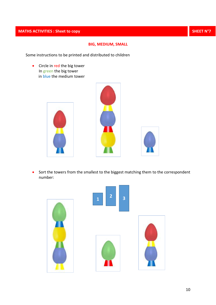# **MATHS ACTIVITIES : Sheet to copy SHEET N°7**

# **BIG, MEDIUM, SMALL**

Some instructions to be printed and distributed to children

• Circle in red the big tower In green the big tower in blue the medium tower







• Sort the towers from the smallest to the biggest matching them to the correspondent number:

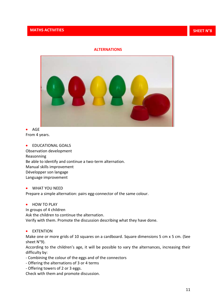# **ALTERNATIONS**



• AGE From 4 years.

**•** EDUCATIONAL GOALS Observation development Reasonning Be able to identify and continue a two-term alternation. Manual skills improvement Développer son langage Language improvement

 WHAT YOU NEED Prepare a simple alternation: pairs egg-connector of the same colour.

• HOW TO PLAY

In groups of 4 children Ask the children to continue the alternation. Verify with them. Promote the discussion describing what they have done.

**•** EXTENTION

Make one or more grids of 10 squares on a cardboard. Square dimensions 5 cm x 5 cm. (See sheet N°9).

According to the children's age, it will be possible to vary the alternances, increasing their difficulty by:

- Combining the colour of the eggs and of the connectors
- Offering the alternations of 3 or 4 terms
- Offering towers of 2 or 3 eggs.

Check with them and promote discussion.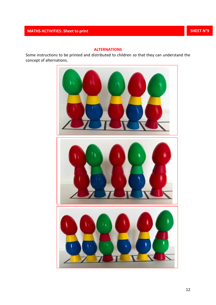# **ALTERNATIONS**

Some instructions to be printed and distributed to children so that they can understand the concept of alternations.

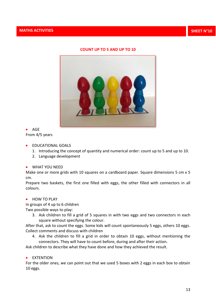# **COUNT UP TO 5 AND UP TO 10**



 $\bullet$  AGF From 4/5 years

- **EDUCATIONAL GOALS** 
	- 1. Introducing the concept of quantity and numerical order: count up to 5 and up to 10.
	- 2. Language development
- WHAT YOU NEED

Make one or more grids with 10 squares on a cardboard paper. Square dimensions 5 cm x 5 cm.

Prepare two baskets, the first one filled with eggs, the other filled with connectors in all colours.

## • HOW TO PLAY

In groups of 4 up to 6 children

Two possible ways to play:

3. Ask children to fill a grid of 5 squares in with two eggs and two connectors in each square without specifying the colour.

After that, ask to count the eggs. Some kids will count spontaneously 5 eggs, others 10 eggs. Collect comments and discuss with children

4. Ask the children to fill a grid in order to obtain 10 eggs, without mentioning the connectors. They will have to count before, during and after their action.

Ask children to describe what they have done and how they achieved the result.

**•** EXTENTION

For the older ones, we can point out that we used 5 boxes with 2 eggs in each box to obtain 10 eggs.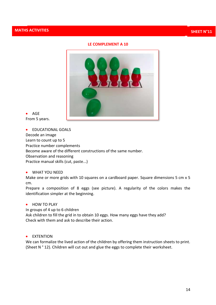# **LE COMPLEMENT A 10**



 $\bullet$  AGE From 5 years.

**•** EDUCATIONAL GOALS Decode an image Learn to count up to 5 Practice number complements Become aware of the different constructions of the same number. Observation and reasoning Practice manual skills (cut, paste...)

# WHAT YOU NEED

Make one or more grids with 10 squares on a cardboard paper. Square dimensions 5 cm x 5 cm.

Prepare a composition of 8 eggs (see picture). A regularity of the colors makes the identification simpler at the beginning.

#### • HOW TO PLAY

In groups of 4 up to 6 children Ask children to fill the grid in to obtain 10 eggs. How many eggs have they add? Check with them and ask to describe their action.

**•** EXTENTION

We can formalize the lived action of the children by offering them instruction sheets to print. (Sheet N ° 12). Children will cut out and glue the eggs to complete their worksheet.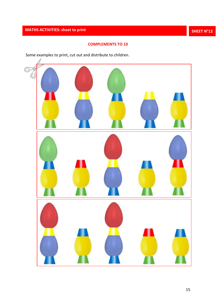# **MATHS ACTIVITIES: sheet to print ring and a set of principal control of principal control of the sheet N°12**

# **COMPLEMENTS TO 10**

Some examples to print, cut out and distribute to children.

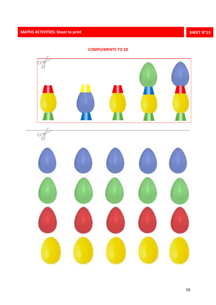

**COMPLEMENTS TO 10**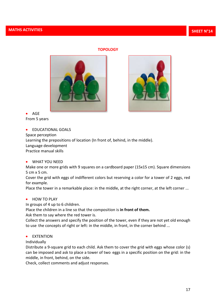# **TOPOLOGY**





• AGE From 5 years

**• EDUCATIONAL GOALS** 

Space perception

Learning the prepositions of location (In front of, behind, in the middle).

Language development

Practice manual skills

WHAT YOU NEED

Make one or more grids with 9 squares on a cardboard paper (15x15 cm). Square dimensions 5 cm x 5 cm.

Cover the grid with eggs of indifferent colors but reserving a color for a tower of 2 eggs, red for example.

Place the tower in a remarkable place: in the middle, at the right corner, at the left corner ...

**• HOW TO PLAY** 

In groups of 4 up to 6 children.

Place the children in a line so that the composition is **in front of them.**

Ask them to say where the red tower is.

Collect the answers and specify the position of the tower, even if they are not yet old enough to use the concepts of right or left: in the middle, in front, in the corner behind ...

# **•** EXTENTION

Individually

Distribute a 9-square grid to each child. Ask them to cover the grid with eggs whose color (s) can be imposed and ask to place a tower of two eggs in a specific position on the grid: in the middle, in front, behind, on the side.

Check, collect comments and adjust responses.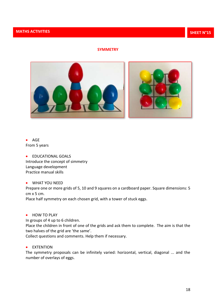# **SYMMETRY**



# AGE From 5 years

**• EDUCATIONAL GOALS** Introduce the concept of simmetry Language development Practice manual skills

### WHAT YOU NEED

Prepare one or more grids of 5, 10 and 9 squares on a cardboard paper. Square dimensions: 5 cm x 5 cm.

Place half symmetry on each chosen grid, with a tower of stuck eggs.

• HOW TO PLAY

In groups of 4 up to 6 children.

Place the children in front of one of the grids and ask them to complete. The aim is that the two halves of the grid are 'the same'.

Collect questions and comments. Help them if necessary.

# **•** EXTENTION

The symmetry proposals can be infinitely varied: horizontal, vertical, diagonal ... and the number of overlays of eggs.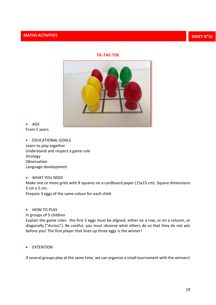# **TIC-TAC-TOE**



 $\bullet$  AGE From 5 years

**• EDUCATIONAL GOALS** Learn to play together Understand and respect a game rule Strategy **Observation** Language development

WHAT YOU NEED

Make one or more grids with 9 squares on a cardboard paper (15x15 cm). Square dimensions 5 cm x 5 cm.

Prepare 3 eggs of the same colour for each child.

# • HOW TO PLAY

In groups of 3 children

Explain the game rules: the first 3 eggs must be aligned, either on a row, or on a column, or diagonally ("Across"). Be careful, you must observe what others do so that they do not win before you! The first player that lines up three eggs is the winner!

**•** EXTENTION

If several groups play at the same time, we can organize a small tournament with the winners!